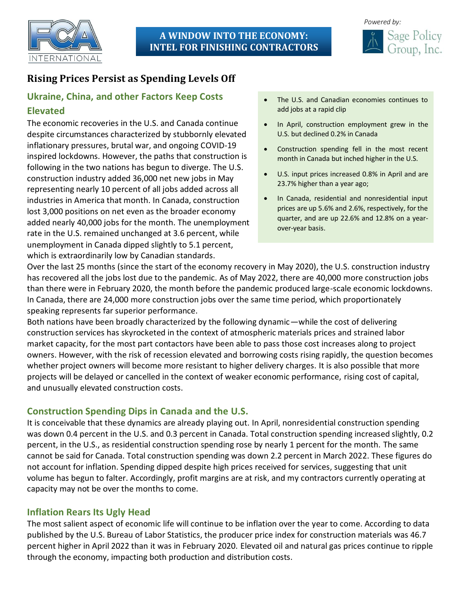



# **Rising Prices Persist as Spending Levels Off**

## **Ukraine, China, and other Factors Keep Costs Elevated**

The economic recoveries in the U.S. and Canada continue despite circumstances characterized by stubbornly elevated inflationary pressures, brutal war, and ongoing COVID-19 inspired lockdowns. However, the paths that construction is following in the two nations has begun to diverge. The U.S. construction industry added 36,000 net new jobs in May representing nearly 10 percent of all jobs added across all industries in America that month. In Canada, construction lost 3,000 positions on net even as the broader economy added nearly 40,000 jobs for the month. The unemployment rate in the U.S. remained unchanged at 3.6 percent, while unemployment in Canada dipped slightly to 5.1 percent, which is extraordinarily low by Canadian standards.

- The U.S. and Canadian economies continues to add jobs at a rapid clip
- In April, construction employment grew in the U.S. but declined 0.2% in Canada
- Construction spending fell in the most recent month in Canada but inched higher in the U.S.
- U.S. input prices increased 0.8% in April and are 23.7% higher than a year ago;
- In Canada, residential and nonresidential input prices are up 5.6% and 2.6%, respectively, for the quarter, and are up 22.6% and 12.8% on a yearover-year basis.

Over the last 25 months (since the start of the economy recovery in May 2020), the U.S. construction industry has recovered all the jobs lost due to the pandemic. As of May 2022, there are 40,000 more construction jobs than there were in February 2020, the month before the pandemic produced large-scale economic lockdowns. In Canada, there are 24,000 more construction jobs over the same time period, which proportionately speaking represents far superior performance.

Both nations have been broadly characterized by the following dynamic—while the cost of delivering construction services has skyrocketed in the context of atmospheric materials prices and strained labor market capacity, for the most part contactors have been able to pass those cost increases along to project owners. However, with the risk of recession elevated and borrowing costs rising rapidly, the question becomes whether project owners will become more resistant to higher delivery charges. It is also possible that more projects will be delayed or cancelled in the context of weaker economic performance, rising cost of capital, and unusually elevated construction costs.

#### **Construction Spending Dips in Canada and the U.S.**

It is conceivable that these dynamics are already playing out. In April, nonresidential construction spending was down 0.4 percent in the U.S. and 0.3 percent in Canada. Total construction spending increased slightly, 0.2 percent, in the U.S., as residential construction spending rose by nearly 1 percent for the month. The same cannot be said for Canada. Total construction spending was down 2.2 percent in March 2022. These figures do not account for inflation. Spending dipped despite high prices received for services, suggesting that unit volume has begun to falter. Accordingly, profit margins are at risk, and my contractors currently operating at capacity may not be over the months to come.

#### **Inflation Rears Its Ugly Head**

The most salient aspect of economic life will continue to be inflation over the year to come. According to data published by the U.S. Bureau of Labor Statistics, the producer price index for construction materials was 46.7 percent higher in April 2022 than it was in February 2020. Elevated oil and natural gas prices continue to ripple through the economy, impacting both production and distribution costs.